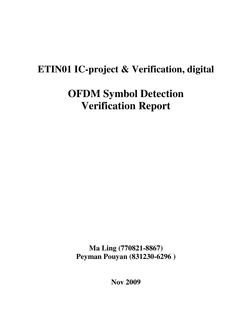# **ETIN01 IC-project & Verification, digital**

# **OFDM Symbol Detection Verification Report**

**Ma Ling (770821-8867) Peyman Pouyan (831230-6296 )** 

**Nov 2009**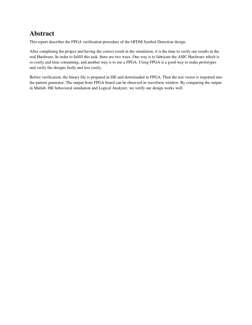## **Abstract**

This report describes the FPGA verification procedure of the OFDM Symbol Detection design.

After completing the project and having the correct result in the simulation, it is the time to verify our results in the real Hardware. In order to fulfill this task, there are two ways. One way is to fabricate the ASIC Hardware which is so costly and time consuming, and another way is to use a FPGA. Using FPGA is a good way to make prototypes and verify the designs fastly and less costly.

Before verification, the binary file is prepared in ISE and downloaded in FPGA. Then the test vector is imported into the pattern generator. The output from FPGA board can be observed in waveform window. By comparing the output in Matlab, ISE behavioral simulation and Logical Analyzer, we verify our design works well.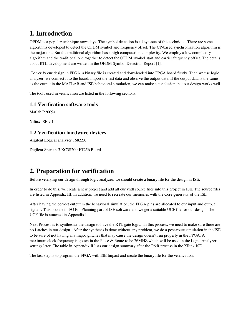## **1. Introduction**

OFDM is a popular technique nowadays. The symbol detection is a key issue of this technique. There are some algorithms developed to detect the OFDM symbol and frequency offset. The CP-based synchronization algorithm is the major one. But the traditional algorithm has a high computation complexity. We employ a low complexity algorithm and the traditional one together to detect the OFDM symbol start and carrier frequency offset. The details about RTL development are written in the OFDM Symbol Detection Report [1].

 To verify our design in FPGA, a binary file is created and downloaded into FPGA board firstly. Then we use logic analyzer, we connect it to the board, import the test data and observe the output data. If the output data is the same as the output in the MATLAB and ISE behavioral simulation, we can make a conclusion that our design works well.

The tools used in verification are listed in the following sections.

#### **1.1 Verification software tools**

Matlab R2009a

Xilinx ISE 9.1

#### **1.2 Verification hardware devices**

Aigilent Logical analyzer 16822A

Digilent Spartan-3 XC3S200-FT256 Board

### **2. Preparation for verification**

Before verifying our design through logic analyzer, we should create a binary file for the design in ISE.

In order to do this, we create a new project and add all our vhdl source files into this project in ISE. The source files are listed in Appendix III. In addition, we need to recreate our memories with the Core generator of the ISE.

After having the correct output in the behavioral simulation, the FPGA pins are allocated to our input and output signals. This is done in I/O Pin Planning part of ISE software and we get a suitable UCF file for our design. The UCF file is attached in Appendix I.

Next Process is to synthesize the design to have the RTL gate logic. In this process, we need to make sure there are no Latches in our design. After the synthesis is done without any problem, we do a post-route simulation in the ISE to be sure of not having any major glitches that may cause the design doesn't run properly in the FPGA. A maximum clock frequency is gotten in the Place & Route to be 26MHZ which will be used in the Logic Analyzer settings later. The table in Appendix II lists our design summary after the P&R process in the Xilinx ISE.

The last step is to program the FPGA with ISE Impact and create the binary file for the verification.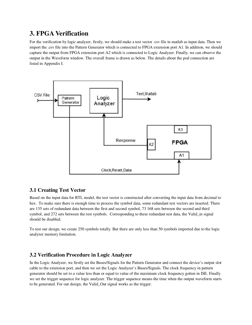## **3. FPGA Verification**

For the verification by logic analyzer, firstly, we should make a test vector .csv file in matlab as input data. Then we import the .csv file into the Pattern Generator which is connected to FPGA extension port A1. In addition, we should capture the output from FPGA extension port A2 which is connected to Logic Analyzer. Finally, we can observe the output in the Waveform window. The overall frame is drawn as below. The details about the pod connection are listed in Appendix I.



#### **3.1 Creating Test Vector**

Based on the input data for RTL model, the test vector is constructed after converting the input data from decimal to hex. To make sure there is enough time to process the symbol data, some redundant test vectors are inserted. There are 135 sets of redundant data between the first and second symbol, 73 168 sets between the second and third symbol, and 272 sets between the rest symbols. Corresponding to these redundant test data, the Valid\_in signal should be disabled.

To test our design, we create 250 symbols totally. But there are only less than 50 symbols imported due to the logic analyzer memory limitation.

#### **3.2 Verification Procedure in Logic Analyzer**

In the Logic Analyzer, we firstly set the Buses/Signals for the Pattern Generator and connect the device's output slot cable to the extension port, and then we set the Logic Analyzer's Buses/Signals. The clock frequency in pattern generator should be set to a value less than or equal to value of the maximum clock frequency gotten in ISE. Finally we set the trigger sequence for logic analyzer. The trigger sequence means the time when the output waveform starts to be generated. For our design, the Valid\_Out signal works as the trigger.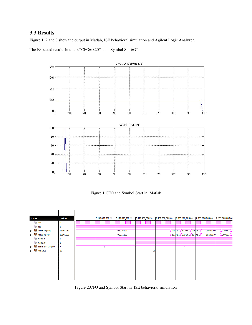#### **3.3 Results**

Figure 1, 2 and 3 show the output in Matlab, ISE behavioral simulation and Agilent Logic Analyzer.

The Expected result should be"CFO=0.20" and "Symbol Start=7".



Figure 1:CFO and Symbol Start in Matlab



Figure 2:CFO and Symbol Start in ISE behavioral simulation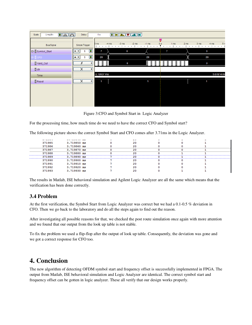| $\begin{tabular}{ c c } \hline \hline \hline \hline \hline \hline \hline \end{tabular}$<br>1 ms/div<br>Delay<br>Scale<br>0 <sub>s</sub> |                                                              |                                                                                                                                                                                                                                                                                                                                                                                                                                             |                      |  |
|-----------------------------------------------------------------------------------------------------------------------------------------|--------------------------------------------------------------|---------------------------------------------------------------------------------------------------------------------------------------------------------------------------------------------------------------------------------------------------------------------------------------------------------------------------------------------------------------------------------------------------------------------------------------------|----------------------|--|
|                                                                                                                                         |                                                              | $\begin{tabular}{ c c c c } \hline \hline & \multicolumn{3}{ c }{\textbf{[}} & \multicolumn{3}{ c }{\textbf{[}} & \multicolumn{3}{ c }{\textbf{[}} & \multicolumn{3}{ c }{\textbf{[}} & \multicolumn{3}{ c }{\textbf{[}} & \multicolumn{3}{ c }{\textbf{[}} & \multicolumn{3}{ c }{\textbf{[}} & \multicolumn{3}{ c }{\textbf{[}} & \multicolumn{3}{ c }{\textbf{[}} & \multicolumn{3}{ c }{\textbf{[}} & \multicolumn{3}{ c }{\textbf{[}}$ |                      |  |
|                                                                                                                                         |                                                              | 挈                                                                                                                                                                                                                                                                                                                                                                                                                                           |                      |  |
| Bus/Signal                                                                                                                              | Simple Trigger                                               | $-3$ ms<br>$-1$ ms<br>$-4$ ms<br>$-2$ ms<br>0s<br>2 <sub>ms</sub><br>3 <sub>ms</sub><br>1 <sub>ms</sub><br>4 <sub>ms</sub><br>$5 \text{ ms}$<br><b>Line Control</b><br>$\overline{\phantom{0}}$<br>$\sim 10^{-1}$ M<br><b>CONTRACTOR</b><br><b>COLLEGE</b><br>$\sim 1-1$<br>$\overline{1}$<br>$\sim$<br>$\blacksquare$<br>$\mathbf{I}$<br>$\mathbf{1}$<br>$\mathbf{1}$                                                                      | 5n<br><b>COLLECT</b> |  |
| 日 Symbol_Start                                                                                                                          | $\circledR$<br>$= 8$<br>S                                    | 0<br>7<br>0<br>7                                                                                                                                                                                                                                                                                                                                                                                                                            |                      |  |
| <b>B</b> DCFO                                                                                                                           | $\textcircled{\textcolor{red}{\blacksquare}}$<br>S.<br>$= 8$ | 20<br>20<br>20                                                                                                                                                                                                                                                                                                                                                                                                                              |                      |  |
| Valid_Out                                                                                                                               | £<br>×.                                                      | 0<br>$\bf{0}$                                                                                                                                                                                                                                                                                                                                                                                                                               |                      |  |
| $\mathbb{E}$ clk                                                                                                                        | X<br>¥                                                       |                                                                                                                                                                                                                                                                                                                                                                                                                                             |                      |  |
| <b>Time</b>                                                                                                                             |                                                              | -5.10937 ms                                                                                                                                                                                                                                                                                                                                                                                                                                 | 5.07814 ms           |  |
| <b>D</b> Reset                                                                                                                          | $\overline{\mathsf{x}}$<br>∛                                 | 1<br>1                                                                                                                                                                                                                                                                                                                                                                                                                                      |                      |  |
|                                                                                                                                         |                                                              |                                                                                                                                                                                                                                                                                                                                                                                                                                             |                      |  |
|                                                                                                                                         |                                                              |                                                                                                                                                                                                                                                                                                                                                                                                                                             |                      |  |
|                                                                                                                                         |                                                              |                                                                                                                                                                                                                                                                                                                                                                                                                                             |                      |  |
|                                                                                                                                         |                                                              |                                                                                                                                                                                                                                                                                                                                                                                                                                             |                      |  |

Figure 3:CFO and Symbol Start in Logic Analyzer

For the processing time, how much time do we need to have the correct CFO and Symbol start?

The following picture shows the correct Symbol Start and CFO comes after 3.71ms in the Logic Analyzer.

| <b><i><u><u><u>A</u></u></u></i> A A A A</b> | <b>MARINE AND ARRESTS</b> |  | $-$ |  |  |
|----------------------------------------------|---------------------------|--|-----|--|--|
| 371985                                       | 3.719850 ms               |  | 20  |  |  |
| 371986                                       | 3.719860 ms               |  | 20  |  |  |
| 371987                                       | 3.719870 ms               |  | 20  |  |  |
| 371988                                       | 3.719880 ms               |  | 20  |  |  |
| 371989                                       | 3.719890 ms               |  | 20  |  |  |
| 371990                                       | $3.719900$ ms             |  | 20  |  |  |
| 371991                                       | 3.719910 ms               |  | 20  |  |  |
| 371992                                       | 3.719920 ms               |  | 20  |  |  |
| 371993                                       | 3.719930 ms               |  | 20  |  |  |
|                                              |                           |  |     |  |  |

The results in Matlab, ISE behavioral simulation and Agilent Logic Analyzer are all the same which means that the verification has been done correctly.

#### **3.4 Problem**

At the first verification, the Symbol Start from Logic Analyzer was correct but we had a 0.1-0.5 % deviation in CFO. Then we go back to the laboratory and do all the steps again to find out the reason.

After investigating all possible reasons for that, we checked the post route simulation once again with more attention and we found that our output from the look up table is not stable.

To fix the problem we used a flip-flop after the output of look up table. Consequently, the deviation was gone and we got a correct response for CFO too.

### **4. Conclusion**

The new algorithm of detecting OFDM symbol start and frequency offset is successfully implemented in FPGA. The output from Matlab, ISE behavioral simulation and Logic Analyzer are identical. The correct symbol start and frequency offset can be gotten in logic analyzer. These all verify that our design works properly.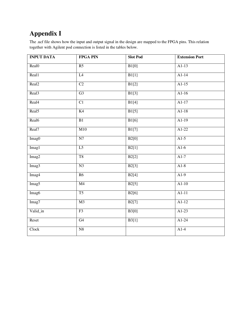## **Appendix I**

The .ucf file shows how the input and output signal in the design are mapped to the FPGA pins. This relation together with Agilent pod connection is listed in the tables below.

| <b>INPUT DATA</b> | <b>FPGA PIN</b>        | <b>Slot Pod</b> | <b>Extension Port</b> |
|-------------------|------------------------|-----------------|-----------------------|
| Real <sub>0</sub> | R5                     | B1[0]           | $A1-13$               |
| Real1             | L4                     | B1[1]           | $A1-14$               |
| Real <sub>2</sub> | $\overline{C2}$        | B1[2]           | $A1-15$               |
| Real <sub>3</sub> | G3                     | B1[3]           | $A1-16$               |
| Real4             | C1                     | B1[4]           | $A1-17$               |
| Real <sub>5</sub> | K <sub>4</sub>         | B1[5]           | $A1-18$               |
| Real6             | $\overline{B1}$        | B1[6]           | $A1-19$               |
| Real7             | M10                    | B1[7]           | $A1-22$               |
| Imag0             | N7                     | B2[0]           | $AI-5$                |
| Imag1             | $\overline{L5}$        | B2[1]           | $AI-6$                |
| Imag2             | T <sub>8</sub>         | B2[2]           | $AI-7$                |
| Imag3             | N <sub>3</sub>         | B2[3]           | $A1-8$                |
| Imag4             | R6                     | B2[4]           | $A1-9$                |
| Imag <sub>5</sub> | M <sub>4</sub>         | B2[5]           | $A1-10$               |
| Imag6             | $\overline{\text{T5}}$ | B2[6]           | $A1-11$               |
| Imag7             | $\overline{M3}$        | B2[7]           | $A1-12$               |
| Valid_in          | F3                     | B3[0]           | $A1-23$               |
| Reset             | G <sub>4</sub>         | B3[1]           | $A1-24$               |
| Clock             | N8                     |                 | $A1-4$                |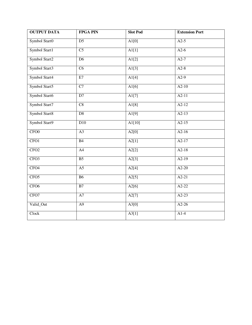| <b>OUTPUT DATA</b> | <b>FPGA PIN</b>        | <b>Slot Pod</b>     | <b>Extension Port</b> |
|--------------------|------------------------|---------------------|-----------------------|
| Symbol Start0      | $\overline{D5}$        | $\overline{A1[0]}$  | $A2-5$                |
| Symbol Start1      | $\overline{\text{C5}}$ | $\overline{A1[1]}$  | $A2-6$                |
| Symbol Start2      | $\overline{D6}$        | $\overline{A1[2]}$  | $A2-7$                |
| Symbol Start3      | $\overline{\text{C6}}$ | $\overline{A1[3]}$  | $A2-8$                |
| Symbol Start4      | E7                     | A1[4]               | $A2-9$                |
| Symbol Start5      | C7                     | $\overline{A1[6]}$  | $A2-10$               |
| Symbol Start6      | $\overline{D7}$        | $\overline{A1[7]}$  | $A2-11$               |
| Symbol Start7      | C8                     | A1[8]               | $A2-12$               |
| Symbol Start8      | D8                     | $\overline{A1[9]}$  | $A2-13$               |
| Symbol Start9      | D10                    | $\overline{A1[10]}$ | $A2-15$               |
| CFO <sub>0</sub>   | A3                     | A2[0]               | $A2-16$               |
| CFO <sub>1</sub>   | B4                     | A2[1]               | $A2-17$               |
| CFO <sub>2</sub>   | A <sup>4</sup>         | A2[2]               | $A2-18$               |
| CFO <sub>3</sub>   | B <sub>5</sub>         | A2[3]               | $A2-19$               |
| CFO <sub>4</sub>   | $\overline{A5}$        | A2[4]               | $A2-20$               |
| CFO <sub>5</sub>   | <b>B6</b>              | A2[5]               | $A2-21$               |
| CFO <sub>6</sub>   | B7                     | A2[6]               | $A2-22$               |
| CFO7               | A7                     | A2[7]               | $A2-23$               |
| Valid_Out          | A9                     | A3[0]               | $A2-26$               |
| Clock              |                        | A3[1]               | $A1-4$                |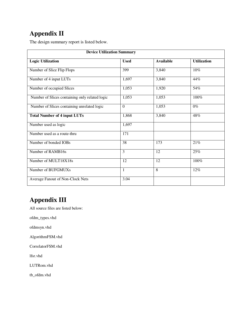## **Appendix II**

The design summary report is listed below.

| <b>Device Utilization Summary</b>              |                |                  |                    |  |  |
|------------------------------------------------|----------------|------------------|--------------------|--|--|
| <b>Logic Utilization</b>                       | <b>Used</b>    | <b>Available</b> | <b>Utilization</b> |  |  |
| Number of Slice Flip Flops                     | 399            | 3,840            | 10%                |  |  |
| Number of 4 input LUTs                         | 1,697          | 3,840            | 44%                |  |  |
| Number of occupied Slices                      | 1,053          | 1,920            | 54%                |  |  |
| Number of Slices containing only related logic | 1,053          | 1,053            | 100%               |  |  |
| Number of Slices containing unrelated logic    | $\overline{0}$ | 1,053            | $0\%$              |  |  |
| <b>Total Number of 4 input LUTs</b>            | 1,868          | 3,840            | 48%                |  |  |
| Number used as logic                           | 1,697          |                  |                    |  |  |
| Number used as a route-thru                    | 171            |                  |                    |  |  |
| Number of bonded IOBs                          | 38             | 173              | $21\%$             |  |  |
| Number of RAMB16s                              | 3              | 12               | 25%                |  |  |
| Number of MULT18X18s                           | 12             | 12               | 100%               |  |  |
| Number of BUFGMUXs                             | $\mathbf{1}$   | 8                | 12%                |  |  |
| Average Fanout of Non-Clock Nets               | 3.04           |                  |                    |  |  |

## **Appendix III**

All source files are listed below:

ofdm\_types.vhd

ofdmsyn.vhd

AlgorithmFSM.vhd

CorrelatorFSM.vhd

lfsr.vhd

LUTRom.vhd

tb\_ofdm.vhd